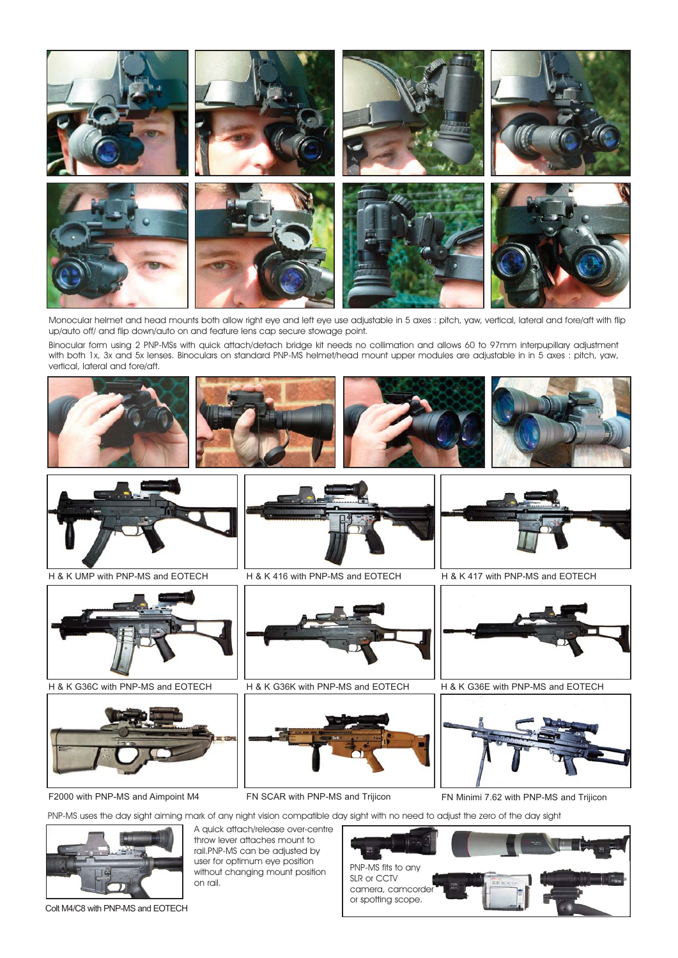

Monocular helmet and head mounts both allow right eye and left eye use adjustable in 5 axes : pitch, yaw, vertical, lateral and fore/aft with flip up/auto off/ and flip down/auto on and feature lens cap secure stowage point.

Binocular form using 2 PNP-MSs with quick attach/detach bridge kit needs no collimation and allows 60 to 97mm interpupillary adjustment with both 1x, 3x and 5x lenses. Binoculars on standard PNP-Mi helmet/head mount upper modules are adjustable in in 5 axes : pitch, yaw, vertical, lateral and fore/aft.



FN Minimi 7.62 with PNP-Mi and Trijicon

PNP-Mi uses the day sight aiming mark of any night vision compatible day sight with no need to adjust the zero of the day sight



Colt M4/C8 with PNP-Mi and EOTECH

A quick attach/release over-centre throw lever attaches mount to rail.PNP-Mi can be adjusted by user for optimum eye position without changing mount position on rail.